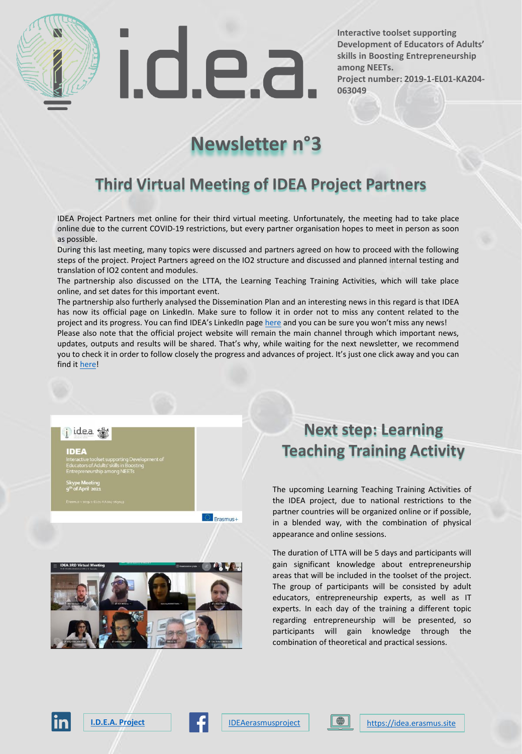

**Interactive toolset supporting Development of Educators of Adults' skills in Boosting Entrepreneurship among NEETs. Project number: 2019-1-EL01-KA204- 063049**

# **Newsletter n°3**

.d.e.a

### **Third Virtual Meeting of IDEA Project Partners**

IDEA Project Partners met online for their third virtual meeting. Unfortunately, the meeting had to take place online due to the current COVID-19 restrictions, but every partner organisation hopes to meet in person as soon as possible.

During this last meeting, many topics were discussed and partners agreed on how to proceed with the following steps of the project. Project Partners agreed on the IO2 structure and discussed and planned internal testing and translation of IO2 content and modules.

The partnership also discussed on the LTTA, the Learning Teaching Training Activities, which will take place online, and set dates for this important event.

The partnership also furtherly analysed the Dissemination Plan and an interesting news in this regard is that IDEA has now its official page on LinkedIn. Make sure to follow it in order not to miss any content related to the project and its progress. You can find IDEA's LinkedIn page [here](https://www.linkedin.com/showcase/76859301/admin/) and you can be sure you won't miss any news! Please also note that the official project website will remain the main channel through which important news, updates, outputs and results will be shared. That's why, while waiting for the next newsletter, we recommend you to check it in order to follow closely the progress and advances of project. It's just one click away and you can

find it [here!](https://idea.erasmus.site/)

### i i.d.e.a. to

**IDEA** 



## **Next step: Learning Teaching Training Activity**

The upcoming Learning Teaching Training Activities of the IDEA project, due to national restrictions to the partner countries will be organized online or if possible, in a blended way, with the combination of physical appearance and online sessions.

The duration of LTTA will be 5 days and participants will gain significant knowledge about entrepreneurship areas that will be included in the toolset of the project. The group of participants will be consisted by adult educators, entrepreneurship experts, as well as IT experts. In each day of the training a different topic regarding entrepreneurship will be presented, so participants will gain knowledge through the combination of theoretical and practical sessions.



Frasmus+